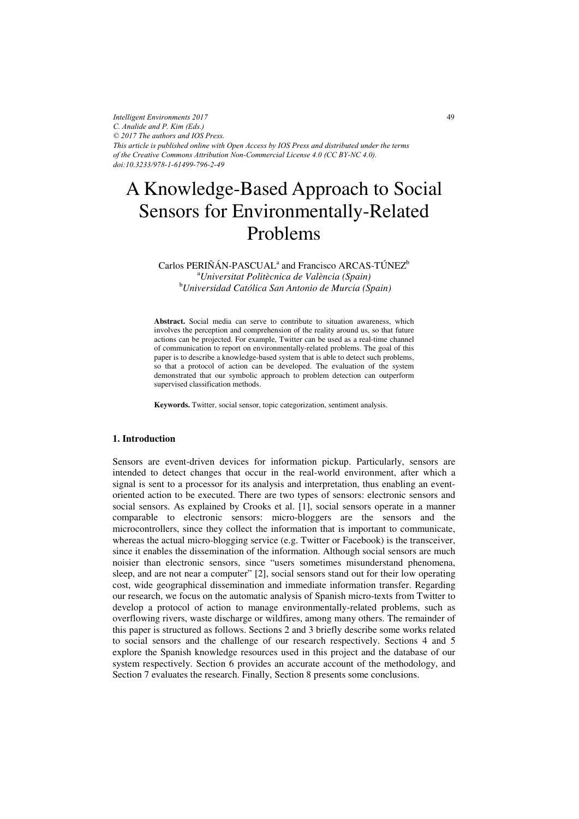*Intelligent Environments 2017 C. Analide and P. Kim (Eds.) © 2017 The authors and IOS Press. This article is published online with Open Access by IOS Press and distributed under the terms of the Creative Commons Attribution Non-Commercial License 4.0 (CC BY-NC 4.0). doi:10.3233/978-1-61499-796-2-49*

# A Knowledge-Based Approach to Social Sensors for Environmentally-Related Problems

Carlos PERIÑÁN-PASCUAL<sup>a</sup> and Francisco ARCAS-TÚNEZ<sup>b</sup> <sup>a</sup> Universitat Politècnica de València (Spain) *Universitat Politècnica de València (Spain)* <sup>b</sup> *Universidad Católica San Antonio de Murcia (Spain)* 

**Abstract.** Social media can serve to contribute to situation awareness, which involves the perception and comprehension of the reality around us, so that future actions can be projected. For example, Twitter can be used as a real-time channel of communication to report on environmentally-related problems. The goal of this paper is to describe a knowledge-based system that is able to detect such problems, so that a protocol of action can be developed. The evaluation of the system demonstrated that our symbolic approach to problem detection can outperform supervised classification methods.

**Keywords.** Twitter, social sensor, topic categorization, sentiment analysis.

## **1. Introduction**

Sensors are event-driven devices for information pickup. Particularly, sensors are intended to detect changes that occur in the real-world environment, after which a signal is sent to a processor for its analysis and interpretation, thus enabling an eventoriented action to be executed. There are two types of sensors: electronic sensors and social sensors. As explained by Crooks et al. [1], social sensors operate in a manner comparable to electronic sensors: micro-bloggers are the sensors and the microcontrollers, since they collect the information that is important to communicate, whereas the actual micro-blogging service (e.g. Twitter or Facebook) is the transceiver, since it enables the dissemination of the information. Although social sensors are much noisier than electronic sensors, since "users sometimes misunderstand phenomena, sleep, and are not near a computer" [2], social sensors stand out for their low operating cost, wide geographical dissemination and immediate information transfer. Regarding our research, we focus on the automatic analysis of Spanish micro-texts from Twitter to develop a protocol of action to manage environmentally-related problems, such as overflowing rivers, waste discharge or wildfires, among many others. The remainder of this paper is structured as follows. Sections 2 and 3 briefly describe some works related to social sensors and the challenge of our research respectively. Sections 4 and 5 explore the Spanish knowledge resources used in this project and the database of our system respectively. Section 6 provides an accurate account of the methodology, and Section 7 evaluates the research. Finally, Section 8 presents some conclusions.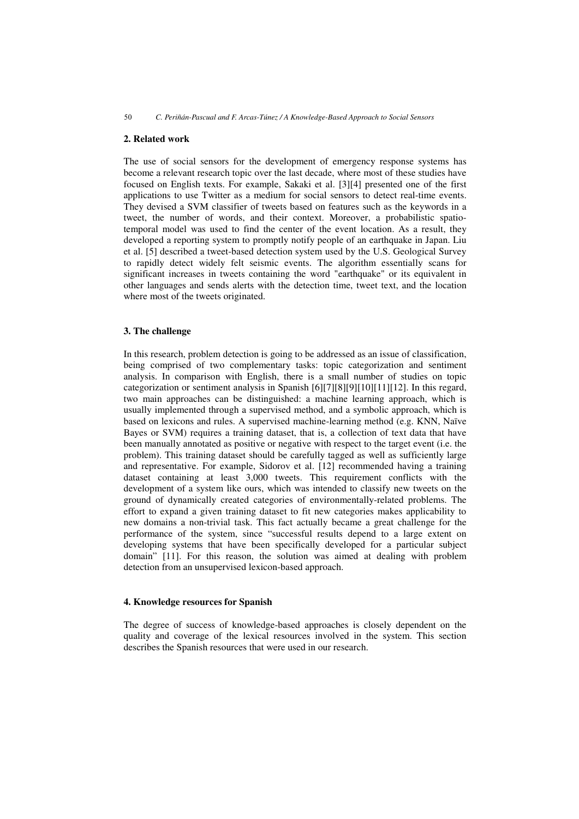# **2. Related work**

The use of social sensors for the development of emergency response systems has become a relevant research topic over the last decade, where most of these studies have focused on English texts. For example, Sakaki et al. [3][4] presented one of the first applications to use Twitter as a medium for social sensors to detect real-time events. They devised a SVM classifier of tweets based on features such as the keywords in a tweet, the number of words, and their context. Moreover, a probabilistic spatiotemporal model was used to find the center of the event location. As a result, they developed a reporting system to promptly notify people of an earthquake in Japan. Liu et al. [5] described a tweet-based detection system used by the U.S. Geological Survey to rapidly detect widely felt seismic events. The algorithm essentially scans for significant increases in tweets containing the word "earthquake" or its equivalent in other languages and sends alerts with the detection time, tweet text, and the location where most of the tweets originated.

# **3. The challenge**

In this research, problem detection is going to be addressed as an issue of classification, being comprised of two complementary tasks: topic categorization and sentiment analysis. In comparison with English, there is a small number of studies on topic categorization or sentiment analysis in Spanish [6][7][8][9][10][11][12]. In this regard, two main approaches can be distinguished: a machine learning approach, which is usually implemented through a supervised method, and a symbolic approach, which is based on lexicons and rules. A supervised machine-learning method (e.g. KNN, Naïve Bayes or SVM) requires a training dataset, that is, a collection of text data that have been manually annotated as positive or negative with respect to the target event (i.e. the problem). This training dataset should be carefully tagged as well as sufficiently large and representative. For example, Sidorov et al. [12] recommended having a training dataset containing at least 3,000 tweets. This requirement conflicts with the development of a system like ours, which was intended to classify new tweets on the ground of dynamically created categories of environmentally-related problems. The effort to expand a given training dataset to fit new categories makes applicability to new domains a non-trivial task. This fact actually became a great challenge for the performance of the system, since "successful results depend to a large extent on developing systems that have been specifically developed for a particular subject domain" [11]. For this reason, the solution was aimed at dealing with problem detection from an unsupervised lexicon-based approach.

# **4. Knowledge resources for Spanish**

The degree of success of knowledge-based approaches is closely dependent on the quality and coverage of the lexical resources involved in the system. This section describes the Spanish resources that were used in our research.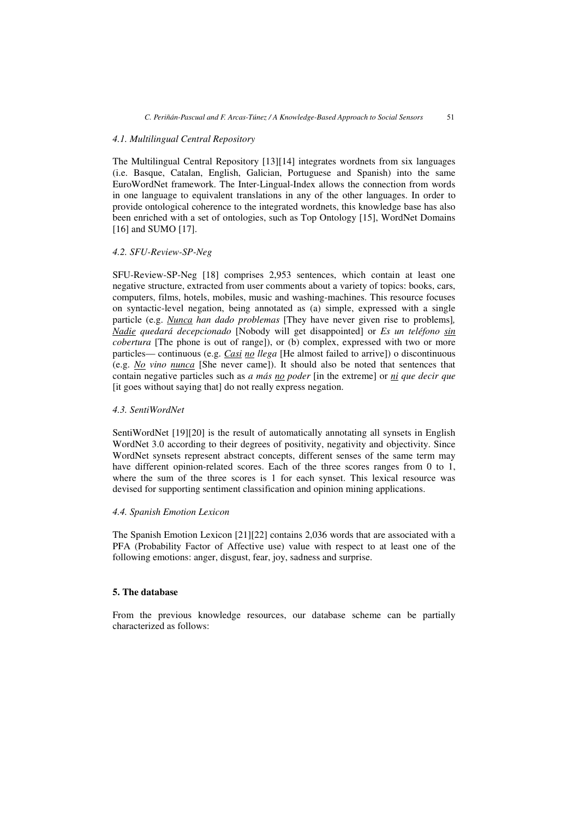## *4.1. Multilingual Central Repository*

The Multilingual Central Repository [13][14] integrates wordnets from six languages (i.e. Basque, Catalan, English, Galician, Portuguese and Spanish) into the same EuroWordNet framework. The Inter-Lingual-Index allows the connection from words in one language to equivalent translations in any of the other languages. In order to provide ontological coherence to the integrated wordnets, this knowledge base has also been enriched with a set of ontologies, such as Top Ontology [15], WordNet Domains [16] and SUMO [17].

# *4.2. SFU-Review-SP-Neg*

SFU-Review-SP-Neg [18] comprises 2,953 sentences, which contain at least one negative structure, extracted from user comments about a variety of topics: books, cars, computers, films, hotels, mobiles, music and washing-machines. This resource focuses on syntactic-level negation, being annotated as (a) simple, expressed with a single particle (e.g. *Nunca han dado problemas* [They have never given rise to problems]*, Nadie quedará decepcionado* [Nobody will get disappointed] or *Es un teléfono sin cobertura* [The phone is out of range]), or (b) complex, expressed with two or more particles— continuous (e.g. *Casi no llega* [He almost failed to arrive]) o discontinuous (e.g. *No vino nunca* [She never came]). It should also be noted that sentences that contain negative particles such as *a más no poder* [in the extreme] or *ni que decir que* [it goes without saying that] do not really express negation.

# *4.3. SentiWordNet*

SentiWordNet [19][20] is the result of automatically annotating all synsets in English WordNet 3.0 according to their degrees of positivity, negativity and objectivity. Since WordNet synsets represent abstract concepts, different senses of the same term may have different opinion-related scores. Each of the three scores ranges from 0 to 1, where the sum of the three scores is 1 for each synset. This lexical resource was devised for supporting sentiment classification and opinion mining applications.

# *4.4. Spanish Emotion Lexicon*

The Spanish Emotion Lexicon [21][22] contains 2,036 words that are associated with a PFA (Probability Factor of Affective use) value with respect to at least one of the following emotions: anger, disgust, fear, joy, sadness and surprise.

# **5. The database**

From the previous knowledge resources, our database scheme can be partially characterized as follows: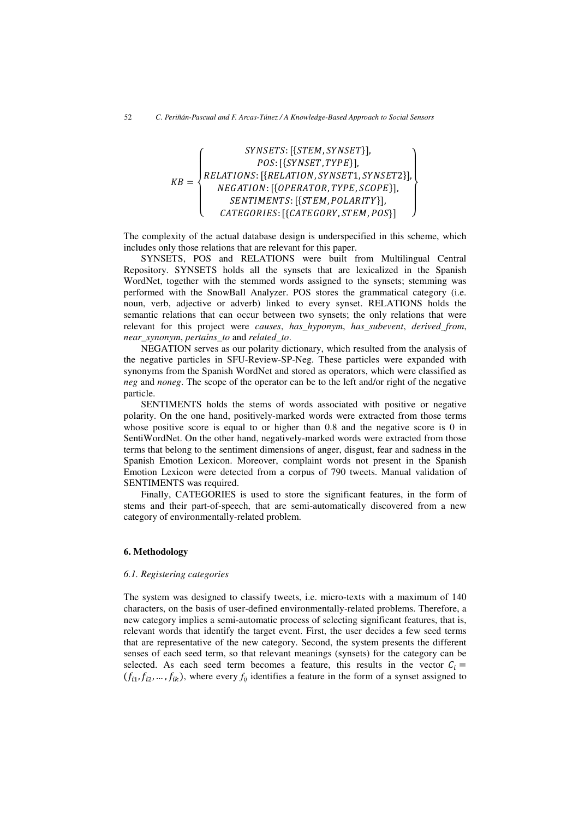$$
\textit{KB} = \left\{ \begin{matrix} \textit{SYNSETS: [\{STEM, SYNSET\}],} \\ \textit{POS: [\{SYNSET, TYPE\}],} \\ \textit{RELATIONS: [\{RELATION, SYNSET1, SYNSET2\}],} \\ \textit{NEGATION: [\{OPERATOR, TYPE, scopeE\}],} \\ \textit{SENTIMENTS: [\{STEM, POLARITY\}],} \\ \textit{CATEGORIES: [\{CATEGORY, STEM, POS\}] \end{matrix} \right\}
$$

The complexity of the actual database design is underspecified in this scheme, which includes only those relations that are relevant for this paper.

SYNSETS, POS and RELATIONS were built from Multilingual Central Repository. SYNSETS holds all the synsets that are lexicalized in the Spanish WordNet, together with the stemmed words assigned to the synsets; stemming was performed with the SnowBall Analyzer. POS stores the grammatical category (i.e. noun, verb, adjective or adverb) linked to every synset. RELATIONS holds the semantic relations that can occur between two synsets; the only relations that were relevant for this project were *causes*, *has\_hyponym*, *has\_subevent*, *derived\_from*, *near\_synonym*, *pertains\_to* and *related\_to*.

NEGATION serves as our polarity dictionary, which resulted from the analysis of the negative particles in SFU-Review-SP-Neg. These particles were expanded with synonyms from the Spanish WordNet and stored as operators, which were classified as *neg* and *noneg*. The scope of the operator can be to the left and/or right of the negative particle.

SENTIMENTS holds the stems of words associated with positive or negative polarity. On the one hand, positively-marked words were extracted from those terms whose positive score is equal to or higher than 0.8 and the negative score is 0 in SentiWordNet. On the other hand, negatively-marked words were extracted from those terms that belong to the sentiment dimensions of anger, disgust, fear and sadness in the Spanish Emotion Lexicon. Moreover, complaint words not present in the Spanish Emotion Lexicon were detected from a corpus of 790 tweets. Manual validation of SENTIMENTS was required.

Finally, CATEGORIES is used to store the significant features, in the form of stems and their part-of-speech, that are semi-automatically discovered from a new category of environmentally-related problem.

#### **6. Methodology**

#### *6.1. Registering categories*

The system was designed to classify tweets, i.e. micro-texts with a maximum of 140 characters, on the basis of user-defined environmentally-related problems. Therefore, a new category implies a semi-automatic process of selecting significant features, that is, relevant words that identify the target event. First, the user decides a few seed terms that are representative of the new category. Second, the system presents the different senses of each seed term, so that relevant meanings (synsets) for the category can be selected. As each seed term becomes a feature, this results in the vector  $C_i$  =  $(f_{i1}, f_{i2}, ..., f_{ik})$ , where every  $f_{ij}$  identifies a feature in the form of a synset assigned to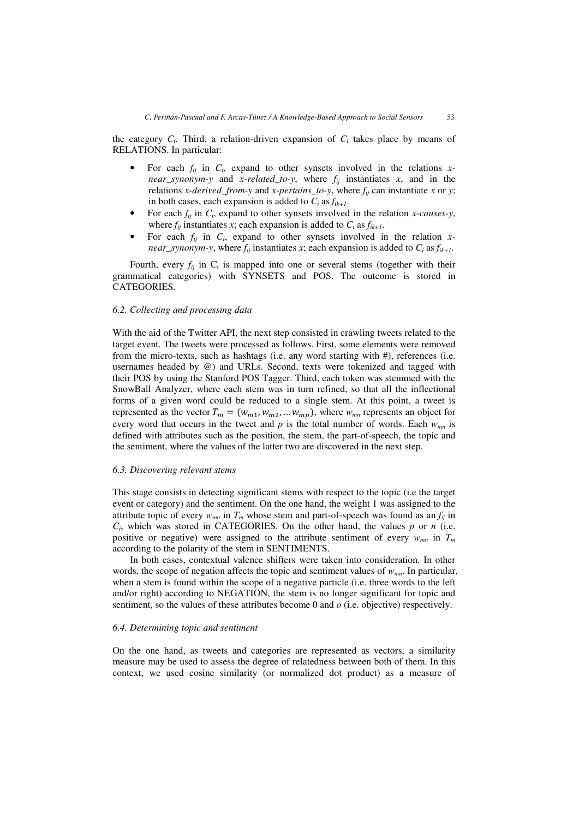the category  $C_i$ . Third, a relation-driven expansion of  $C_i$  takes place by means of RELATIONS. In particular:

- For each  $f_{ij}$  in  $C_i$ , expand to other synsets involved in the relations  $x$ *near\_synonym-y* and *x-related\_to-y*, where  $f_{ij}$  instantiates *x*, and in the relations *x-derived\_from-y* and *x-pertains\_to-y*, where *fij* can instantiate *x* or *y*; in both cases, each expansion is added to  $C_i$  as  $f_{ik+1}$ .
- For each *fij* in *Ci*, expand to other synsets involved in the relation *x-causes-y*, where  $f_{ij}$  instantiates *x*; each expansion is added to  $C_i$  as  $f_{ik+1}$ .
- For each  $f_{ij}$  in  $C_i$ , expand to other synsets involved in the relation *xnear\_synonym-y*, where  $f_{ij}$  instantiates *x*; each expansion is added to  $C_i$  as  $f_{ik+1}$ .

Fourth, every  $f_{ij}$  in  $C_i$  is mapped into one or several stems (together with their grammatical categories) with SYNSETS and POS. The outcome is stored in CATEGORIES.

#### *6.2. Collecting and processing data*

With the aid of the Twitter API, the next step consisted in crawling tweets related to the target event. The tweets were processed as follows. First, some elements were removed from the micro-texts, such as hashtags (i.e. any word starting with #), references (i.e. usernames headed by  $\omega$ ) and URLs. Second, texts were tokenized and tagged with their POS by using the Stanford POS Tagger. Third, each token was stemmed with the SnowBall Analyzer, where each stem was in turn refined, so that all the inflectional forms of a given word could be reduced to a single stem. At this point, a tweet is represented as the vector  $T_m = (w_{m1}, w_{m2}, \dots w_{mp})$ , where  $w_{mn}$  represents an object for every word that occurs in the tweet and  $p$  is the total number of words. Each  $w_{mn}$  is defined with attributes such as the position, the stem, the part-of-speech, the topic and the sentiment, where the values of the latter two are discovered in the next step.

#### *6.3. Discovering relevant stems*

This stage consists in detecting significant stems with respect to the topic (i.e the target event or category) and the sentiment. On the one hand, the weight 1 was assigned to the attribute topic of every  $w_{mn}$  in  $T_m$  whose stem and part-of-speech was found as an  $f_{ij}$  in  $C_i$ , which was stored in CATEGORIES. On the other hand, the values  $p$  or  $n$  (i.e. positive or negative) were assigned to the attribute sentiment of every  $w_{mn}$  in  $T_m$ according to the polarity of the stem in SENTIMENTS.

In both cases, contextual valence shifters were taken into consideration. In other words, the scope of negation affects the topic and sentiment values of  $w_{mn}$ . In particular, when a stem is found within the scope of a negative particle (i.e. three words to the left and/or right) according to NEGATION, the stem is no longer significant for topic and sentiment, so the values of these attributes become 0 and *o* (i.e. objective) respectively.

#### *6.4. Determining topic and sentiment*

On the one hand, as tweets and categories are represented as vectors, a similarity measure may be used to assess the degree of relatedness between both of them. In this context, we used cosine similarity (or normalized dot product) as a measure of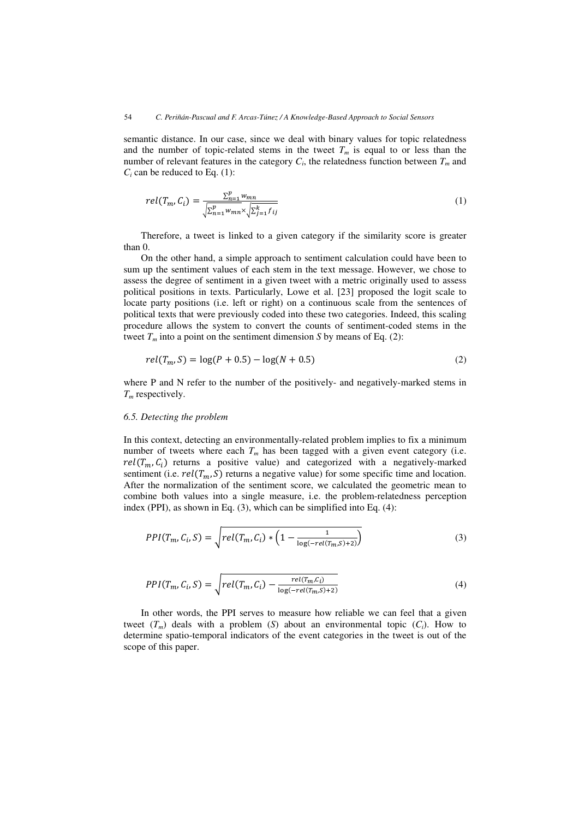semantic distance. In our case, since we deal with binary values for topic relatedness and the number of topic-related stems in the tweet  $T_m$  is equal to or less than the number of relevant features in the category  $C_i$ , the relatedness function between  $T_m$  and  $C_i$  can be reduced to Eq.  $(1)$ :

$$
rel(T_m, C_i) = \frac{\sum_{n=1}^{p} w_{mn}}{\sqrt{\sum_{n=1}^{p} w_{mn} \times \sqrt{\sum_{j=1}^{k} f_{ij}}}}
$$
(1)

Therefore, a tweet is linked to a given category if the similarity score is greater than 0.

On the other hand, a simple approach to sentiment calculation could have been to sum up the sentiment values of each stem in the text message. However, we chose to assess the degree of sentiment in a given tweet with a metric originally used to assess political positions in texts. Particularly, Lowe et al. [23] proposed the logit scale to locate party positions (i.e. left or right) on a continuous scale from the sentences of political texts that were previously coded into these two categories. Indeed, this scaling procedure allows the system to convert the counts of sentiment-coded stems in the tweet  $T_m$  into a point on the sentiment dimension *S* by means of Eq. (2):

$$
rel(T_m, S) = \log(P + 0.5) - \log(N + 0.5)
$$
\n(2)

where P and N refer to the number of the positively- and negatively-marked stems in *Tm* respectively.

#### *6.5. Detecting the problem*

In this context, detecting an environmentally-related problem implies to fix a minimum number of tweets where each  $T_m$  has been tagged with a given event category (i.e.  $rel(T_m, C_i)$  returns a positive value) and categorized with a negatively-marked sentiment (i.e.  $rel(T_m, S)$  returns a negative value) for some specific time and location. After the normalization of the sentiment score, we calculated the geometric mean to combine both values into a single measure, i.e. the problem-relatedness perception index (PPI), as shown in Eq. (3), which can be simplified into Eq. (4):

$$
PPI(T_m, C_i, S) = \sqrt{rel(T_m, C_i) * (1 - \frac{1}{\log(-rel(T_m, S) + 2)})}
$$
(3)

$$
PPI(T_m, C_i, S) = \sqrt{rel(T_m, C_i) - \frac{rel(T_m, C_i)}{\log(-rel(T_m, S) + 2)}}
$$
(4)

In other words, the PPI serves to measure how reliable we can feel that a given tweet  $(T_m)$  deals with a problem  $(S)$  about an environmental topic  $(C_i)$ . How to determine spatio-temporal indicators of the event categories in the tweet is out of the scope of this paper.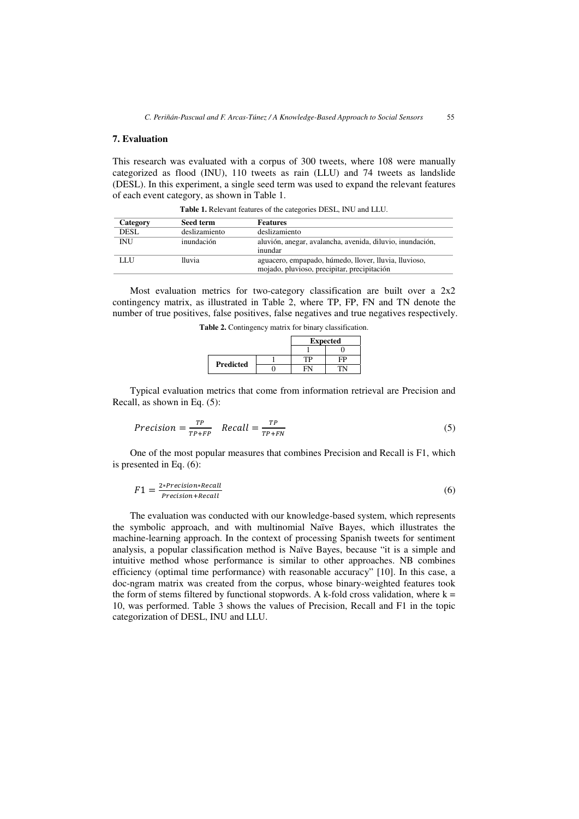# **7. Evaluation**

This research was evaluated with a corpus of 300 tweets, where 108 were manually categorized as flood (INU), 110 tweets as rain (LLU) and 74 tweets as landslide (DESL). In this experiment, a single seed term was used to expand the relevant features of each event category, as shown in Table 1.

| Category    | Seed term     | <b>Features</b>                                           |
|-------------|---------------|-----------------------------------------------------------|
| <b>DESL</b> | deslizamiento | deslizamiento                                             |
| <b>INU</b>  | inundación    | aluvión, anegar, avalancha, avenida, diluvio, inundación, |
|             |               | inundar                                                   |
| LLU         | lluvia        | aguacero, empapado, húmedo, llover, lluvia, lluvioso,     |
|             |               | mojado, pluvioso, precipitar, precipitación               |

**Table 1.** Relevant features of the categories DESL, INU and LLU.

Most evaluation metrics for two-category classification are built over a 2x2 contingency matrix, as illustrated in Table 2, where TP, FP, FN and TN denote the number of true positives, false positives, false negatives and true negatives respectively.

|                  | <b>Expected</b> |  |
|------------------|-----------------|--|
|                  |                 |  |
| <b>Predicted</b> | ГP              |  |
|                  |                 |  |

**Table 2.** Contingency matrix for binary classification.

Typical evaluation metrics that come from information retrieval are Precision and Recall, as shown in Eq. (5):

$$
Precision = \frac{TP}{TP + FP} \quad Recall = \frac{TP}{TP + FN} \tag{5}
$$

One of the most popular measures that combines Precision and Recall is F1, which is presented in Eq. (6):

$$
F1 = \frac{2 \cdot Precision \cdot Recall}{Precision + Recall}
$$
 (6)

The evaluation was conducted with our knowledge-based system, which represents the symbolic approach, and with multinomial Naïve Bayes, which illustrates the machine-learning approach. In the context of processing Spanish tweets for sentiment analysis, a popular classification method is Naïve Bayes, because "it is a simple and intuitive method whose performance is similar to other approaches. NB combines efficiency (optimal time performance) with reasonable accuracy" [10]. In this case, a doc-ngram matrix was created from the corpus, whose binary-weighted features took the form of stems filtered by functional stopwords. A k-fold cross validation, where  $k =$ 10, was performed. Table 3 shows the values of Precision, Recall and F1 in the topic categorization of DESL, INU and LLU.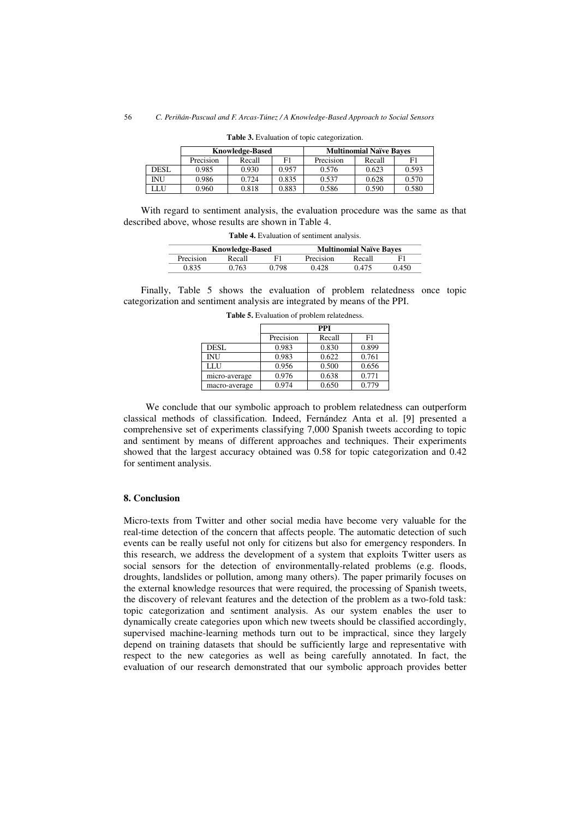|             | <b>Knowledge-Based</b> |        |       | <b>Multinomial Naïve Bayes</b> |        |       |
|-------------|------------------------|--------|-------|--------------------------------|--------|-------|
|             | Precision              | Recall | F1    | Precision                      | Recall | F1    |
| <b>DESL</b> | 0.985                  | 0.930  | 0.957 | 0.576                          | 0.623  | 0.593 |
| INU         | 0.986                  | 0.724  | 0.835 | 0.537                          | 0.628  | 0.570 |
| LLU         | 0.960                  | 0.818  | 0.883 | 0.586                          | 0.590  | 0.580 |

**Table 3.** Evaluation of topic categorization.

With regard to sentiment analysis, the evaluation procedure was the same as that described above, whose results are shown in Table 4.

**Table 4.** Evaluation of sentiment analysis.

| <b>Knowledge-Based</b> |        |       | <b>Multinomial Naïve Bayes</b> |        |       |
|------------------------|--------|-------|--------------------------------|--------|-------|
| Precision              | Recall | Е1    | Precision                      | Recall |       |
| <b>2835</b>            | 2763   | J 798 | ) 428                          | 0.475  | ገ 450 |

Finally, Table 5 shows the evaluation of problem relatedness once topic categorization and sentiment analysis are integrated by means of the PPI.

|               | PPI       |        |       |  |  |
|---------------|-----------|--------|-------|--|--|
|               | Precision | Recall | F1    |  |  |
| DESL          | 0.983     | 0.830  | 0.899 |  |  |
| <b>INU</b>    | 0.983     | 0.622  | 0.761 |  |  |
| LLU           | 0.956     | 0.500  | 0.656 |  |  |
| micro-average | 0.976     | 0.638  | 0.771 |  |  |
| macro-average | 0.974     | 0.650  | 0.779 |  |  |

**Table 5.** Evaluation of problem relatedness.

We conclude that our symbolic approach to problem relatedness can outperform classical methods of classification. Indeed, Fernández Anta et al. [9] presented a comprehensive set of experiments classifying 7,000 Spanish tweets according to topic and sentiment by means of different approaches and techniques. Their experiments showed that the largest accuracy obtained was 0.58 for topic categorization and 0.42 for sentiment analysis.

## **8. Conclusion**

Micro-texts from Twitter and other social media have become very valuable for the real-time detection of the concern that affects people. The automatic detection of such events can be really useful not only for citizens but also for emergency responders. In this research, we address the development of a system that exploits Twitter users as social sensors for the detection of environmentally-related problems (e.g. floods, droughts, landslides or pollution, among many others). The paper primarily focuses on the external knowledge resources that were required, the processing of Spanish tweets, the discovery of relevant features and the detection of the problem as a two-fold task: topic categorization and sentiment analysis. As our system enables the user to dynamically create categories upon which new tweets should be classified accordingly, supervised machine-learning methods turn out to be impractical, since they largely depend on training datasets that should be sufficiently large and representative with respect to the new categories as well as being carefully annotated. In fact, the evaluation of our research demonstrated that our symbolic approach provides better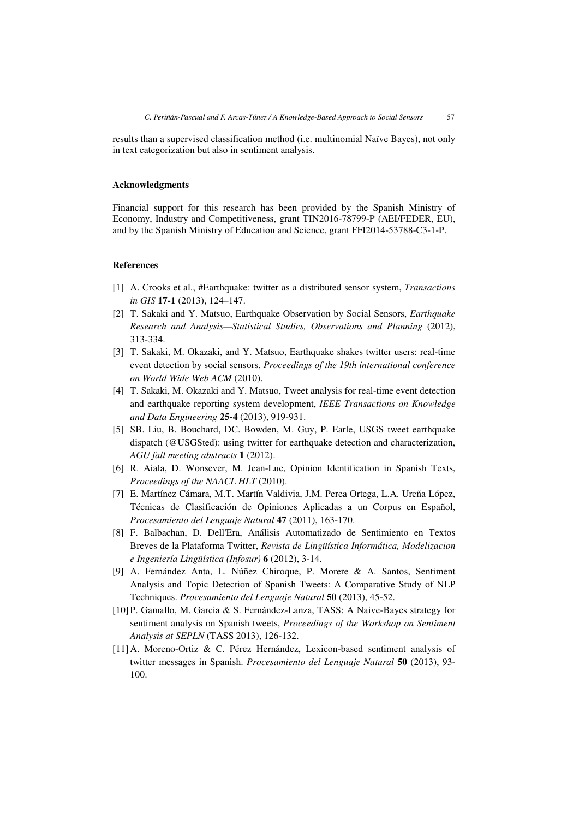results than a supervised classification method (i.e. multinomial Naïve Bayes), not only in text categorization but also in sentiment analysis.

#### **Acknowledgments**

Financial support for this research has been provided by the Spanish Ministry of Economy, Industry and Competitiveness, grant TIN2016-78799-P (AEI/FEDER, EU), and by the Spanish Ministry of Education and Science, grant FFI2014-53788-C3-1-P.

# **References**

- [1] A. Crooks et al., #Earthquake: twitter as a distributed sensor system, *Transactions in GIS* **17-1** (2013), 124–147.
- [2] T. Sakaki and Y. Matsuo, Earthquake Observation by Social Sensors, *Earthquake Research and Analysis—Statistical Studies, Observations and Planning* (2012), 313-334.
- [3] T. Sakaki, M. Okazaki, and Y. Matsuo, Earthquake shakes twitter users: real-time event detection by social sensors, *Proceedings of the 19th international conference on World Wide Web ACM* (2010).
- [4] T. Sakaki, M. Okazaki and Y. Matsuo, Tweet analysis for real-time event detection and earthquake reporting system development, *IEEE Transactions on Knowledge and Data Engineering* **25-4** (2013), 919-931.
- [5] SB. Liu, B. Bouchard, DC. Bowden, M. Guy, P. Earle, USGS tweet earthquake dispatch (@USGSted): using twitter for earthquake detection and characterization, *AGU fall meeting abstracts* **1** (2012).
- [6] R. Aiala, D. Wonsever, M. Jean-Luc, Opinion Identification in Spanish Texts, *Proceedings of the NAACL HLT* (2010).
- [7] E. Martínez Cámara, M.T. Martín Valdivia, J.M. Perea Ortega, L.A. Ureña López, Técnicas de Clasificación de Opiniones Aplicadas a un Corpus en Español, *Procesamiento del Lenguaje Natural* **47** (2011), 163-170.
- [8] F. Balbachan, D. Dell'Era, Análisis Automatizado de Sentimiento en Textos Breves de la Plataforma Twitter, *Revista de Lingüística Informática, Modelizacion e Ingeniería Lingüística (Infosur)* **6** (2012), 3-14.
- [9] A. Fernández Anta, L. Núñez Chiroque, P. Morere & A. Santos, Sentiment Analysis and Topic Detection of Spanish Tweets: A Comparative Study of NLP Techniques. *Procesamiento del Lenguaje Natural* **50** (2013), 45-52.
- [10]P. Gamallo, M. Garcia & S. Fernández-Lanza, TASS: A Naive-Bayes strategy for sentiment analysis on Spanish tweets, *Proceedings of the Workshop on Sentiment Analysis at SEPLN* (TASS 2013), 126-132.
- [11]A. Moreno-Ortiz & C. Pérez Hernández, Lexicon-based sentiment analysis of twitter messages in Spanish. *Procesamiento del Lenguaje Natural* **50** (2013), 93- 100.